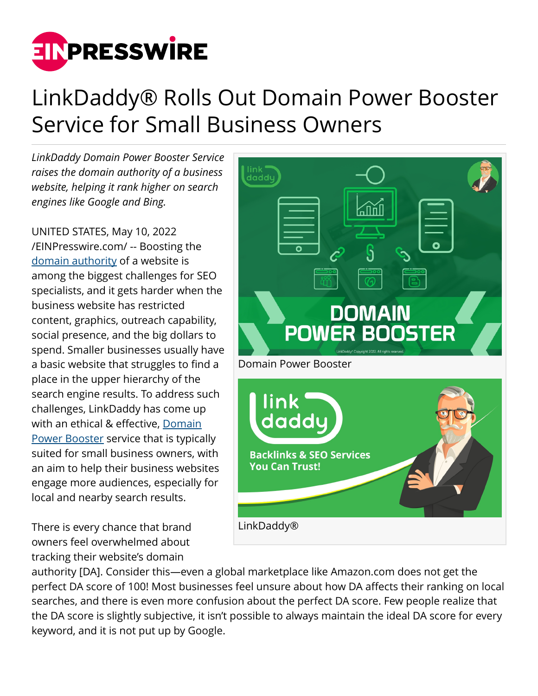

## LinkDaddy® Rolls Out Domain Power Booster Service for Small Business Owners

*LinkDaddy Domain Power Booster Service raises the domain authority of a business website, helping it rank higher on search engines like Google and Bing.*

UNITED STATES, May 10, 2022 [/EINPresswire.com/](http://www.einpresswire.com) -- Boosting the [domain authority](https://www.linkdaddy.shop/domain-power-booster/) of a website is among the biggest challenges for SEO specialists, and it gets harder when the business website has restricted content, graphics, outreach capability, social presence, and the big dollars to spend. Smaller businesses usually have a basic website that struggles to find a place in the upper hierarchy of the search engine results. To address such challenges, LinkDaddy has come up with an ethical & effective, [Domain](https://www.linkdaddy.shop/products/domain-power-booster/) [Power Booster](https://www.linkdaddy.shop/products/domain-power-booster/) service that is typically suited for small business owners, with an aim to help their business websites engage more audiences, especially for local and nearby search results.

There is every chance that brand owners feel overwhelmed about tracking their website's domain



authority [DA]. Consider this—even a global marketplace like Amazon.com does not get the perfect DA score of 100! Most businesses feel unsure about how DA affects their ranking on local searches, and there is even more confusion about the perfect DA score. Few people realize that the DA score is slightly subjective, it isn't possible to always maintain the ideal DA score for every keyword, and it is not put up by Google.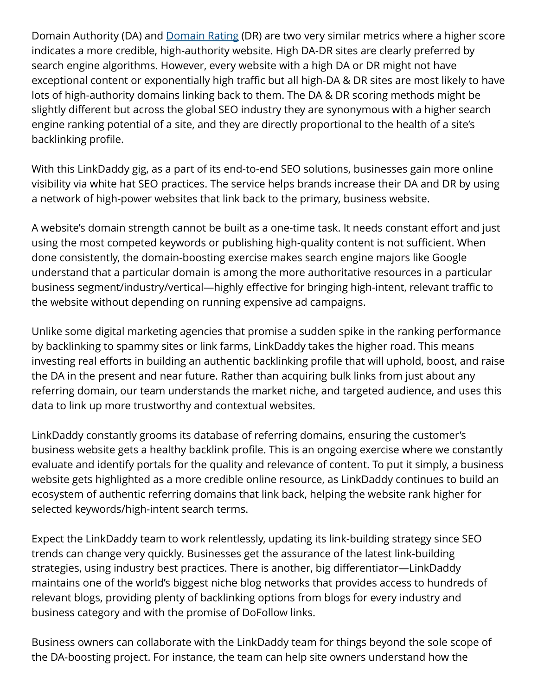Domain Authority (DA) and **Domain Rating (DR) are two very similar metrics where a higher score** indicates a more credible, high-authority website. High DA-DR sites are clearly preferred by search engine algorithms. However, every website with a high DA or DR might not have exceptional content or exponentially high traffic but all high-DA & DR sites are most likely to have lots of high-authority domains linking back to them. The DA & DR scoring methods might be slightly different but across the global SEO industry they are synonymous with a higher search engine ranking potential of a site, and they are directly proportional to the health of a site's backlinking profile.

With this LinkDaddy gig, as a part of its end-to-end SEO solutions, businesses gain more online visibility via white hat SEO practices. The service helps brands increase their DA and DR by using a network of high-power websites that link back to the primary, business website.

A website's domain strength cannot be built as a one-time task. It needs constant effort and just using the most competed keywords or publishing high-quality content is not sufficient. When done consistently, the domain-boosting exercise makes search engine majors like Google understand that a particular domain is among the more authoritative resources in a particular business segment/industry/vertical—highly effective for bringing high-intent, relevant traffic to the website without depending on running expensive ad campaigns.

Unlike some digital marketing agencies that promise a sudden spike in the ranking performance by backlinking to spammy sites or link farms, LinkDaddy takes the higher road. This means investing real efforts in building an authentic backlinking profile that will uphold, boost, and raise the DA in the present and near future. Rather than acquiring bulk links from just about any referring domain, our team understands the market niche, and targeted audience, and uses this data to link up more trustworthy and contextual websites.

LinkDaddy constantly grooms its database of referring domains, ensuring the customer's business website gets a healthy backlink profile. This is an ongoing exercise where we constantly evaluate and identify portals for the quality and relevance of content. To put it simply, a business website gets highlighted as a more credible online resource, as LinkDaddy continues to build an ecosystem of authentic referring domains that link back, helping the website rank higher for selected keywords/high-intent search terms.

Expect the LinkDaddy team to work relentlessly, updating its link-building strategy since SEO trends can change very quickly. Businesses get the assurance of the latest link-building strategies, using industry best practices. There is another, big differentiator—LinkDaddy maintains one of the world's biggest niche blog networks that provides access to hundreds of relevant blogs, providing plenty of backlinking options from blogs for every industry and business category and with the promise of DoFollow links.

Business owners can collaborate with the LinkDaddy team for things beyond the sole scope of the DA-boosting project. For instance, the team can help site owners understand how the